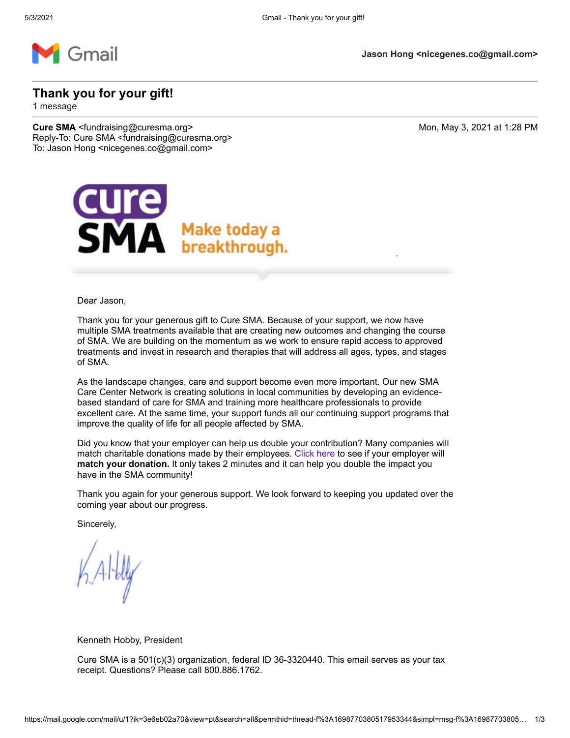

**Thank you for your gift!**

1 message

**Cure SMA** <fundraising@curesma.org> Mon, May 3, 2021 at 1:28 PM Reply-To: Cure SMA <fundraising@curesma.org> To: Jason Hong <nicegenes.co@gmail.com>



Dear Jason,

Thank you for your generous gift to Cure SMA. Because of your support, we now have multiple SMA treatments available that are creating new outcomes and changing the course of SMA. We are building on the momentum as we work to ensure rapid access to approved treatments and invest in research and therapies that will address all ages, types, and stages of SMA.

As the landscape changes, care and support become even more important. Our new SMA Care Center Network is creating solutions in local communities by developing an evidencebased standard of care for SMA and training more healthcare professionals to provide excellent care. At the same time, your support funds all our continuing support programs that improve the quality of life for all people affected by SMA.

Did you know that your employer can help us double your contribution? Many companies will match charitable donations made by their employees. [Click here](https://www.curesma.org/ways-to-give/) to see if your employer will **match your donation.** It only takes 2 minutes and it can help you double the impact you have in the SMA community!

Thank you again for your generous support. We look forward to keeping you updated over the coming year about our progress.

Sincerely,

Kenneth Hobby, President

Cure SMA is a 501(c)(3) organization, federal ID 36-3320440. This email serves as your tax receipt. Questions? Please call 800.886.1762.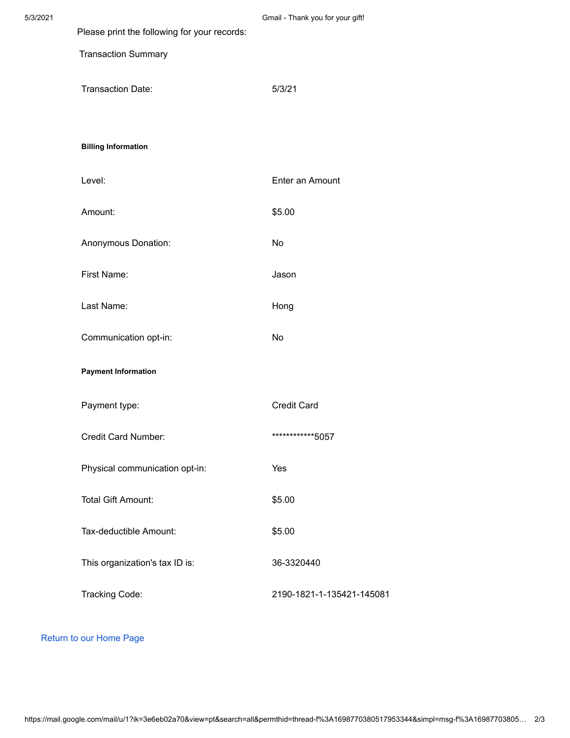| 5/3/2021 |                                              | Gmail - Thank you for your gift! |
|----------|----------------------------------------------|----------------------------------|
|          | Please print the following for your records: |                                  |
|          | <b>Transaction Summary</b>                   |                                  |
|          | Transaction Date:                            | 5/3/21                           |
|          | <b>Billing Information</b>                   |                                  |
|          | Level:                                       | Enter an Amount                  |
|          | Amount:                                      | \$5.00                           |
|          | Anonymous Donation:                          | No                               |
|          | First Name:                                  | Jason                            |
|          | Last Name:                                   | Hong                             |
|          | Communication opt-in:                        | No                               |
|          | <b>Payment Information</b>                   |                                  |
|          | Payment type:                                | <b>Credit Card</b>               |
|          | Credit Card Number:                          | *************5057                |
|          | Physical communication opt-in:               | Yes                              |
|          | <b>Total Gift Amount:</b>                    | \$5.00                           |
|          | Tax-deductible Amount:                       | \$5.00                           |
|          | This organization's tax ID is:               | 36-3320440                       |
|          | Tracking Code:                               | 2190-1821-1-135421-145081        |
|          |                                              |                                  |

[Return to our Home Page](http://www.curesma.org/)